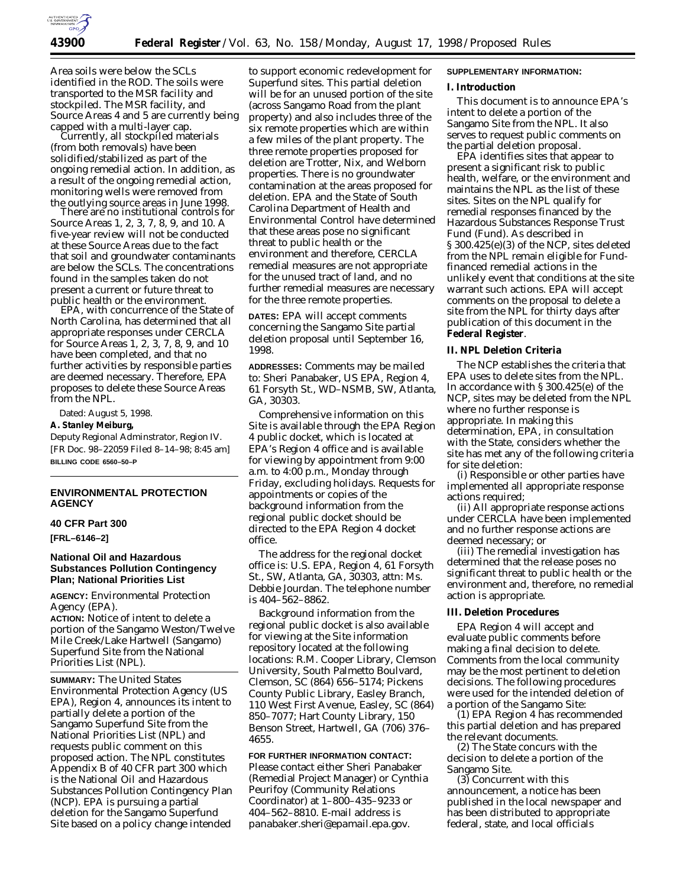

Area soils were below the SCLs identified in the ROD. The soils were transported to the MSR facility and stockpiled. The MSR facility, and Source Areas 4 and 5 are currently being<br>capped with a multi-layer cap.

Currently, all stockpiled materials (from both removals) have been solidified/stabilized as part of the ongoing remedial action. In addition, as a result of the ongoing remedial action, monitoring wells were removed from the outlying source areas in June 1998. There are no institutional controls for

Source Areas 1, 2, 3, 7, 8, 9, and 10. A five-year review will not be conducted at these Source Areas due to the fact that soil and groundwater contaminants are below the SCLs. The concentrations found in the samples taken do not present a current or future threat to public health or the environment. EPA, with concurrence of the State of

North Carolina, has determined that all appropriate responses under CERCLA for Source Areas 1, 2, 3, 7, 8, 9, and 10 have been completed, and that no further activities by responsible parties are deemed necessary. Therefore, EPA proposes to delete these Source Areas from the NPL.

Dated: August 5, 1998.

### **A. Stanley Meiburg,**

*Deputy Regional Adminstrator, Region IV.* [FR Doc. 98–22059 Filed 8–14–98; 8:45 am] **BILLING CODE 6560–50–P**

### **ENVIRONMENTAL PROTECTION AGENCY**

## **40 CFR Part 300**

**[FRL–6146–2]**

### **National Oil and Hazardous Substances Pollution Contingency Plan; National Priorities List**

**AGENCY:** Environmental Protection Agency (EPA).

**ACTION:** Notice of intent to delete a portion of the Sangamo Weston/Twelve Mile Creek/Lake Hartwell (Sangamo) Superfund Site from the National Priorities List (NPL).

**SUMMARY:** The United States Environmental Protection Agency (US EPA), Region 4, announces its intent to partially delete a portion of the Sangamo Superfund Site from the National Priorities List (NPL) and requests public comment on this proposed action. The NPL constitutes Appendix B of 40 CFR part 300 which is the National Oil and Hazardous Substances Pollution Contingency Plan (NCP). EPA is pursuing a partial deletion for the Sangamo Superfund Site based on a policy change intended

to support economic redevelopment for Superfund sites. This partial deletion will be for an unused portion of the site (across Sangamo Road from the plant property) and also includes three of the six remote properties which are within a few miles of the plant property. The three remote properties proposed for deletion are Trotter, Nix, and Welborn properties. There is no groundwater contamination at the areas proposed for deletion. EPA and the State of South Carolina Department of Health and Environmental Control have determined that these areas pose no significant threat to public health or the environment and therefore, CERCLA remedial measures are not appropriate for the unused tract of land, and no further remedial measures are necessary for the three remote properties.

**DATES:** EPA will accept comments concerning the Sangamo Site partial deletion proposal until September 16, 1998.

**ADDRESSES:** Comments may be mailed to: Sheri Panabaker, US EPA, Region 4, 61 Forsyth St., WD–NSMB, SW, Atlanta, GA, 30303.

Comprehensive information on this Site is available through the EPA Region 4 public docket, which is located at EPA's Region 4 office and is available for viewing by appointment from 9:00 a.m. to 4:00 p.m., Monday through Friday, excluding holidays. Requests for appointments or copies of the background information from the regional public docket should be directed to the EPA Region 4 docket office.

The address for the regional docket office is: U.S. EPA, Region 4, 61 Forsyth St., SW, Atlanta, GA, 30303, attn: Ms. Debbie Jourdan. The telephone number is 404–562–8862.

Background information from the regional public docket is also available for viewing at the Site information repository located at the following locations: R.M. Cooper Library, Clemson University, South Palmetto Boulvard, Clemson, SC (864) 656–5174; Pickens County Public Library, Easley Branch, 110 West First Avenue, Easley, SC (864) 850–7077; Hart County Library, 150 Benson Street, Hartwell, GA (706) 376– 4655.

**FOR FURTHER INFORMATION CONTACT:** Please contact either Sheri Panabaker (Remedial Project Manager) or Cynthia Peurifoy (Community Relations Coordinator) at 1–800–435–9233 or 404–562–8810. E-mail address is *panabaker.sheri@epamail.epa.gov.*

## **SUPPLEMENTARY INFORMATION:**

#### **I. Introduction**

This document is to announce EPA's intent to delete a portion of the Sangamo Site from the NPL. It also serves to request public comments on the partial deletion proposal.

EPA identifies sites that appear to present a significant risk to public health, welfare, or the environment and maintains the NPL as the list of these sites. Sites on the NPL qualify for remedial responses financed by the Hazardous Substances Response Trust Fund (Fund). As described in § 300.425(e)(3) of the NCP, sites deleted from the NPL remain eligible for Fundfinanced remedial actions in the unlikely event that conditions at the site warrant such actions. EPA will accept comments on the proposal to delete a site from the NPL for thirty days after publication of this document in the **Federal Register**.

#### **II. NPL Deletion Criteria**

The NCP establishes the criteria that EPA uses to delete sites from the NPL. In accordance with § 300.425(e) of the NCP, sites may be deleted from the NPL where no further response is appropriate. In making this determination, EPA, in consultation with the State, considers whether the site has met any of the following criteria for site deletion:

(i) Responsible or other parties have implemented all appropriate response actions required;

(ii) All appropriate response actions under CERCLA have been implemented and no further response actions are deemed necessary; or

(iii) The remedial investigation has determined that the release poses no significant threat to public health or the environment and, therefore, no remedial action is appropriate.

### **III. Deletion Procedures**

EPA Region 4 will accept and evaluate public comments before making a final decision to delete. Comments from the local community may be the most pertinent to deletion decisions. The following procedures were used for the intended deletion of a portion of the Sangamo Site:

(1) EPA Region 4 has recommended this partial deletion and has prepared the relevant documents.

(2) The State concurs with the decision to delete a portion of the Sangamo Site.

(3) Concurrent with this announcement, a notice has been published in the local newspaper and has been distributed to appropriate federal, state, and local officials